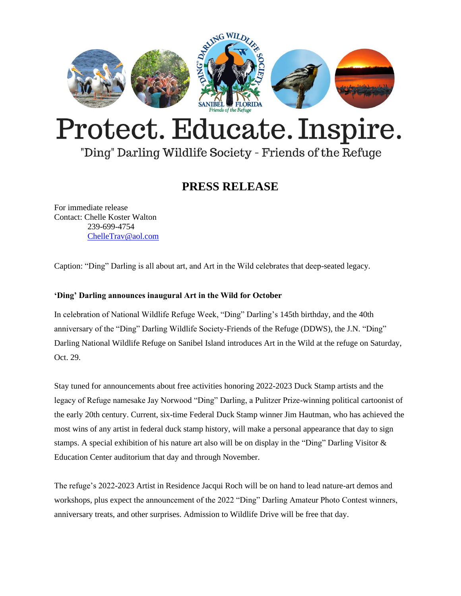

# Protect. Educate. Inspire.

## "Ding" Darling Wildlife Society - Friends of the Refuge

## **PRESS RELEASE**

For immediate release Contact: Chelle Koster Walton 239-699-4754 [ChelleTrav@aol.com](mailto:ChelleTrav@aol.com)

Caption: "Ding" Darling is all about art, and Art in the Wild celebrates that deep-seated legacy.

### **'Ding' Darling announces inaugural Art in the Wild for October**

In celebration of National Wildlife Refuge Week, "Ding" Darling's 145th birthday, and the 40th anniversary of the "Ding" Darling Wildlife Society-Friends of the Refuge (DDWS), the J.N. "Ding" Darling National Wildlife Refuge on Sanibel Island introduces Art in the Wild at the refuge on Saturday, Oct. 29.

Stay tuned for announcements about free activities honoring 2022-2023 Duck Stamp artists and the legacy of Refuge namesake Jay Norwood "Ding" Darling, a Pulitzer Prize-winning political cartoonist of the early 20th century. Current, six-time Federal Duck Stamp winner Jim Hautman, who has achieved the most wins of any artist in federal duck stamp history, will make a personal appearance that day to sign stamps. A special exhibition of his nature art also will be on display in the "Ding" Darling Visitor & Education Center auditorium that day and through November.

The refuge's 2022-2023 Artist in Residence Jacqui Roch will be on hand to lead nature-art demos and workshops, plus expect the announcement of the 2022 "Ding" Darling Amateur Photo Contest winners, anniversary treats, and other surprises. Admission to Wildlife Drive will be free that day.